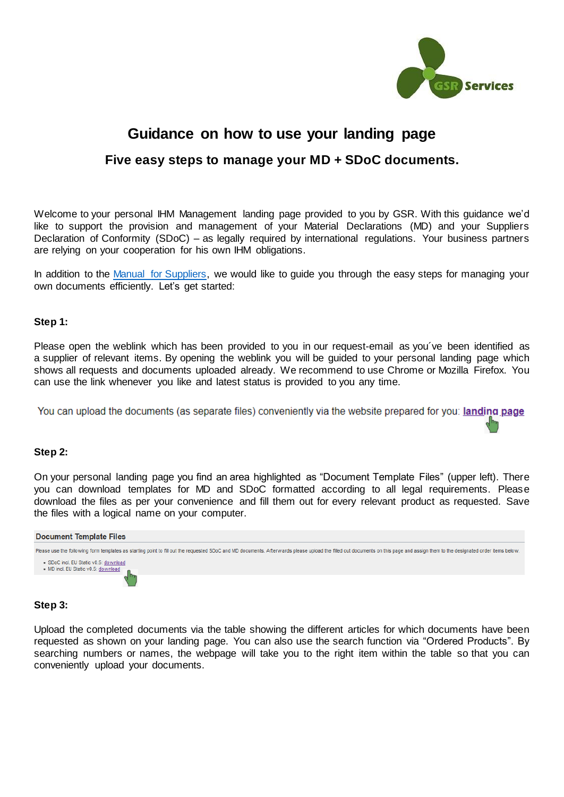

# **Guidance on how to use your landing page Five easy steps to manage your MD + SDoC documents.**

Welcome to your personal IHM Management landing page provided to you by GSR. With this guidance we'd like to support the provision and management of your Material Declarations (MD) and your Suppliers Declaration of Conformity (SDoC) – as legally required by international regulations. Your business partners are relying on your cooperation for his own IHM obligations.

In addition to the [Manual for Suppliers,](https://gsr-services.de/pdf/Guidance_for_Suppliers.pdf) we would like to guide you through the easy steps for managing your own documents efficiently. Let's get started:

#### **Step 1:**

Please open the weblink which has been provided to you in our request-email as you´ve been identified as a supplier of relevant items. By opening the weblink you will be guided to your personal landing page which shows all requests and documents uploaded already. We recommend to use Chrome or Mozilla Firefox. You can use the link whenever you like and latest status is provided to you any time.

You can upload the documents (as separate files) conveniently via the website prepared for you: landing page

#### **Step 2:**

On your personal landing page you find an area highlighted as "Document Template Files" (upper left). There you can download templates for MD and SDoC formatted according to all legal requirements. Please download the files as per your convenience and fill them out for every relevant product as requested. Save the files with a logical name on your computer.



## **Step 3:**

Upload the completed documents via the table showing the different articles for which documents have been requested as shown on your landing page. You can also use the search function via "Ordered Products". By searching numbers or names, the webpage will take you to the right item within the table so that you can conveniently upload your documents.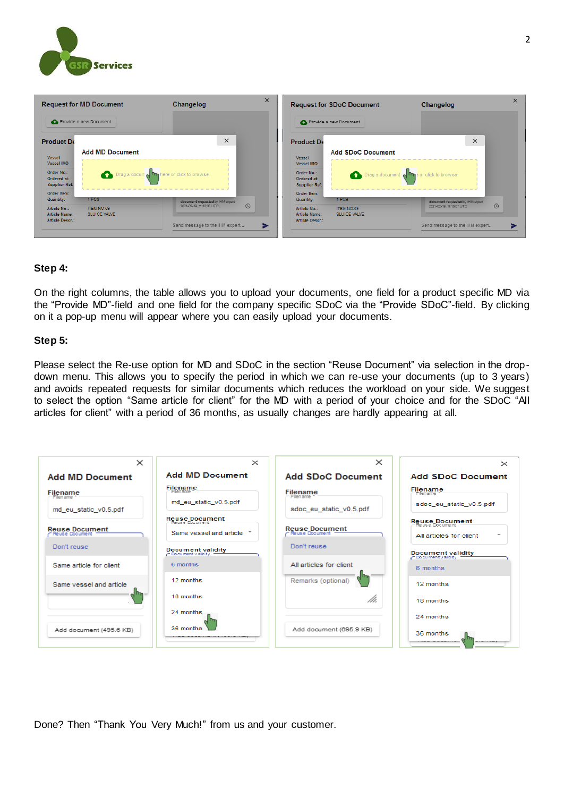

| <b>Request for MD Document</b>                    |                                                                        | Changelog                                  | $\times$ | <b>Request for SDoC Document</b>                                                                                                                 |                            | Changelog                           |  |
|---------------------------------------------------|------------------------------------------------------------------------|--------------------------------------------|----------|--------------------------------------------------------------------------------------------------------------------------------------------------|----------------------------|-------------------------------------|--|
|                                                   | Provide a new Document                                                 |                                            |          |                                                                                                                                                  | Provide a new Document     |                                     |  |
| <b>Product De</b>                                 |                                                                        | $\times$                                   |          | <b>Product De</b>                                                                                                                                |                            | $\times$                            |  |
| Vessel<br>Vessel IMO                              | <b>Add MD Document</b><br>Drag a document has here or click to browse. |                                            |          | <b>Add SDoC Document</b><br>Vessel<br>Vessel IMO<br>Order No.:<br>Drag a document of the crick to browse.<br>Ordered at:<br><b>Supplier Ref.</b> |                            |                                     |  |
| Order No.:<br>Ordered at:<br><b>Supplier Ref.</b> |                                                                        |                                            |          |                                                                                                                                                  |                            |                                     |  |
| Order Item:<br><b>Quantity:</b>                   | 1 PCS                                                                  | document requested by IHM expert           |          | Order Item:<br>Quantity:                                                                                                                         | 1 PCS                      | document requested by IHM expert    |  |
| <b>Article No.:</b><br><b>Article Name:</b>       | <b>ITEM NO.09</b><br>SLUICE VALVE                                      | $\circledcirc$<br>2021-02-19, 11:18:03 UTC |          | Article No.:<br><b>Article Name:</b>                                                                                                             | ITEM NO.09<br>SLUICE VALVE | $\odot$<br>2021-02-19, 11:18:07 UTC |  |
| <b>Article Descr.:</b>                            |                                                                        | Send message to the IHM expert             | ⋗        | <b>Article Descr.:</b>                                                                                                                           |                            | Send message to the IHM expert      |  |

## **Step 4:**

On the right columns, the table allows you to upload your documents, one field for a product specific MD via the "Provide MD"-field and one field for the company specific SDoC via the "Provide SDoC"-field. By clicking on it a pop-up menu will appear where you can easily upload your documents.

## **Step 5:**

Please select the Re-use option for MD and SDoC in the section "Reuse Document" via selection in the dropdown menu. This allows you to specify the period in which we can re-use your documents (up to 3 years) and avoids repeated requests for similar documents which reduces the workload on your side. We suggest to select the option "Same article for client" for the MD with a period of your choice and for the SDoC "All articles for client" with a period of 36 months, as usually changes are hardly appearing at all.

| $\times$                                  | $\times$                                         | $\times$                                  | $\times$                                            |  |
|-------------------------------------------|--------------------------------------------------|-------------------------------------------|-----------------------------------------------------|--|
| <b>Add MD Document</b>                    | <b>Add MD Document</b>                           | <b>Add SDoC Document</b>                  | <b>Add SDoC Document</b>                            |  |
| <b>Filename</b><br>Filen ame 1            | <b>Filename</b><br>Filen ame                     | <b>Filename</b><br>Filen ame              | Filename<br>Filen ame                               |  |
| md eu static v0.5.pdf                     | md eu static v0.5.pdf                            | sdoc eu static v0.5.pdf                   | sdoc_eu_static_v0.5.pdf                             |  |
|                                           | <b>Reuse Document</b><br>Reuse Document          |                                           | <b>Reuse Document</b>                               |  |
| <b>Reuse Document</b><br>- Reuse Document | Same yessel and article                          | <b>Reuse Document</b><br>r Reuse Document | $\overline{\phantom{a}}$<br>All articles for client |  |
| Don't reuse                               | <b>Document validity</b><br>- Document v alidity | Don't reuse                               | <b>Document validity</b><br>C Document validity     |  |
| Same article for client                   | 6 months                                         | All articles for client                   | 6 months                                            |  |
| Same vessel and article                   | 12 months                                        | Remarks (optional)                        | 12 months                                           |  |
|                                           | 18 months                                        | /h.                                       | 18 months                                           |  |
|                                           | 24 months                                        |                                           | 24 months                                           |  |
| Add document (495.6 KB)                   | 36 months                                        | Add document (695.9 KB)                   | 36 months<br>--------                               |  |

Done? Then "Thank You Very Much!" from us and your customer.